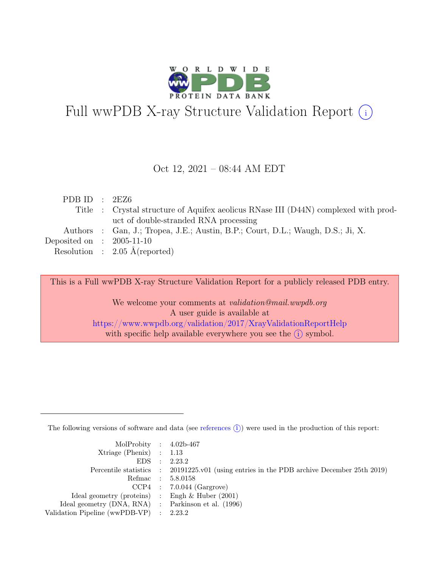

# Full wwPDB X-ray Structure Validation Report  $(i)$

#### Oct 12, 2021 – 08:44 AM EDT

| PDB ID : $2EZ6$             |                                                                                     |
|-----------------------------|-------------------------------------------------------------------------------------|
|                             | Title : Crystal structure of Aquifex aeolicus RNase III (D44N) complexed with prod- |
|                             | uct of double-stranded RNA processing                                               |
|                             | Authors : Gan, J.; Tropea, J.E.; Austin, B.P.; Court, D.L.; Waugh, D.S.; Ji, X.     |
| Deposited on : $2005-11-10$ |                                                                                     |
|                             | Resolution : $2.05 \text{ Å}$ (reported)                                            |

This is a Full wwPDB X-ray Structure Validation Report for a publicly released PDB entry.

We welcome your comments at validation@mail.wwpdb.org A user guide is available at <https://www.wwpdb.org/validation/2017/XrayValidationReportHelp> with specific help available everywhere you see the  $(i)$  symbol.

The following versions of software and data (see [references](https://www.wwpdb.org/validation/2017/XrayValidationReportHelp#references)  $(i)$ ) were used in the production of this report:

| MolProbity : $4.02b-467$                            |                                                                                            |
|-----------------------------------------------------|--------------------------------------------------------------------------------------------|
| $Xtriangle (Phenix)$ : 1.13                         |                                                                                            |
|                                                     | EDS : 2.23.2                                                                               |
|                                                     | Percentile statistics : 20191225.v01 (using entries in the PDB archive December 25th 2019) |
|                                                     | Refmac : 5.8.0158                                                                          |
|                                                     | $CCP4$ : 7.0.044 (Gargrove)                                                                |
| Ideal geometry (proteins) : Engh $\&$ Huber (2001)  |                                                                                            |
| Ideal geometry (DNA, RNA) : Parkinson et al. (1996) |                                                                                            |
| Validation Pipeline (wwPDB-VP) : 2.23.2             |                                                                                            |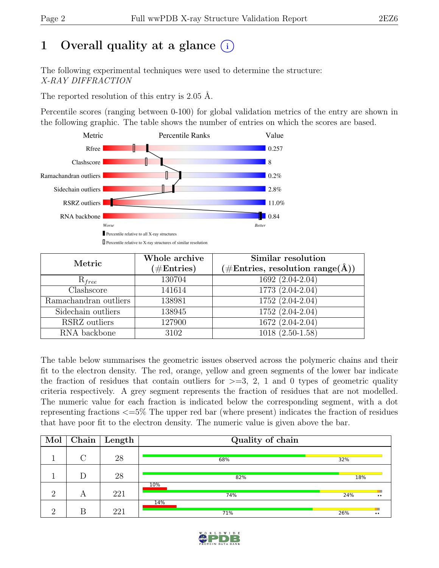# 1 Overall quality at a glance  $(i)$

The following experimental techniques were used to determine the structure: X-RAY DIFFRACTION

The reported resolution of this entry is 2.05 Å.

Percentile scores (ranging between 0-100) for global validation metrics of the entry are shown in the following graphic. The table shows the number of entries on which the scores are based.



| Metric                          | Whole archive         | Similar resolution                                           |  |  |
|---------------------------------|-----------------------|--------------------------------------------------------------|--|--|
|                                 | $(\# \text{Entries})$ | $(\# \text{Entries}, \text{ resolution } \text{range}(\AA))$ |  |  |
| $R_{free}$                      | 130704                | 1692 (2.04-2.04)                                             |  |  |
| $\overline{\text{Cl}}$ ashscore | 141614                | $\overline{1773}$ $(2.04-2.04)$                              |  |  |
| Ramachandran outliers           | 138981                | $1752(2.04-2.04)$                                            |  |  |
| Sidechain outliers              | 138945                | 1752 (2.04-2.04)                                             |  |  |
| RSRZ outliers                   | 127900                | $1672(2.04-2.04)$                                            |  |  |
| RNA backbone                    | 3102                  | $1018(2.50-1.58)$                                            |  |  |

The table below summarises the geometric issues observed across the polymeric chains and their fit to the electron density. The red, orange, yellow and green segments of the lower bar indicate the fraction of residues that contain outliers for  $\geq=3$ , 2, 1 and 0 types of geometric quality criteria respectively. A grey segment represents the fraction of residues that are not modelled. The numeric value for each fraction is indicated below the corresponding segment, with a dot representing fractions <=5% The upper red bar (where present) indicates the fraction of residues that have poor fit to the electron density. The numeric value is given above the bar.

| Mol      | $\bf Chain \parallel$ | Length | Quality of chain |     |                     |  |  |  |
|----------|-----------------------|--------|------------------|-----|---------------------|--|--|--|
|          | $\cap$                | 28     | 68%              | 32% |                     |  |  |  |
|          | D                     | 28     | 82%              | 18% |                     |  |  |  |
| $\Omega$ | А                     | 221    | 10%<br>74%       | 24% | $\bullet$ $\bullet$ |  |  |  |
| $\Omega$ | В                     | 221    | 14%<br>71%       | 26% | $\bullet$           |  |  |  |

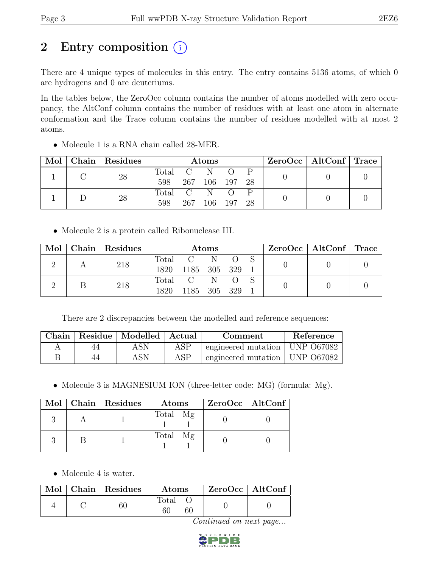## 2 Entry composition  $(i)$

There are 4 unique types of molecules in this entry. The entry contains 5136 atoms, of which 0 are hydrogens and 0 are deuteriums.

In the tables below, the ZeroOcc column contains the number of atoms modelled with zero occupancy, the AltConf column contains the number of residues with at least one atom in alternate conformation and the Trace column contains the number of residues modelled with at most 2 atoms.

| Mol |  | Chain Residues | <b>Atoms</b> |             |             |     | $ZeroOcc \mid AltConf \mid Trace$ |  |  |
|-----|--|----------------|--------------|-------------|-------------|-----|-----------------------------------|--|--|
|     |  | 28             | Total C N    |             |             |     |                                   |  |  |
|     |  | 598            |              | 267 106 197 | -28         |     |                                   |  |  |
|     |  | 28             | Total C      |             |             |     |                                   |  |  |
|     |  |                | 598          |             | 267 106 197 | -28 |                                   |  |  |

• Molecule 1 is a RNA chain called 28-MER.

• Molecule 2 is a protein called Ribonuclease III.

|  |  | Mol   Chain   Residues | Atoms         |               |  | $ZeroOcc \mid AltConf \mid Trace$ |  |  |
|--|--|------------------------|---------------|---------------|--|-----------------------------------|--|--|
|  |  | 218                    |               | Total C N O S |  |                                   |  |  |
|  |  | 1820                   | 1185 305 329  |               |  |                                   |  |  |
|  |  | 218                    | Total C N O S |               |  |                                   |  |  |
|  |  |                        | 1820          | 1185 305 329  |  |                                   |  |  |

There are 2 discrepancies between the modelled and reference sequences:

| Chain |    | Residue   Modelled   Actual |     | Comment                          | Reference |
|-------|----|-----------------------------|-----|----------------------------------|-----------|
|       | 44 | ASN                         | ASP | engineered mutation   UNP 067082 |           |
|       | 44 | ASN                         | ASP | engineered mutation   UNP 067082 |           |

• Molecule 3 is MAGNESIUM ION (three-letter code: MG) (formula: Mg).

|  | Mol   Chain   Residues | Atoms    | $ZeroOcc$   AltConf |
|--|------------------------|----------|---------------------|
|  |                        | Total Mg |                     |
|  |                        | Total Mg |                     |

• Molecule 4 is water.

|  | Mol   Chain   Residues | <b>Atoms</b> | $\mid$ ZeroOcc $\mid$ AltConf $\mid$ |  |
|--|------------------------|--------------|--------------------------------------|--|
|  |                        | Total<br>60  |                                      |  |

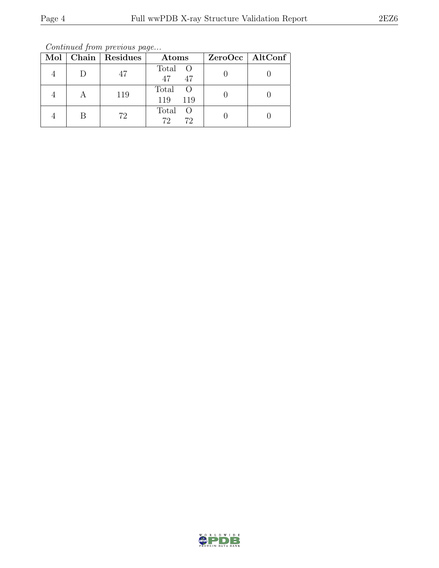Continued from previous page...

|   | Mol   Chain   Residues | Atoms                               | ZeroOcc   AltConf |
|---|------------------------|-------------------------------------|-------------------|
|   | 47                     | Total O<br>47<br>47                 |                   |
|   | 119                    | Total O<br>119<br>119               |                   |
| В | 72                     | Total<br>$\overline{O}$<br>72<br>72 |                   |

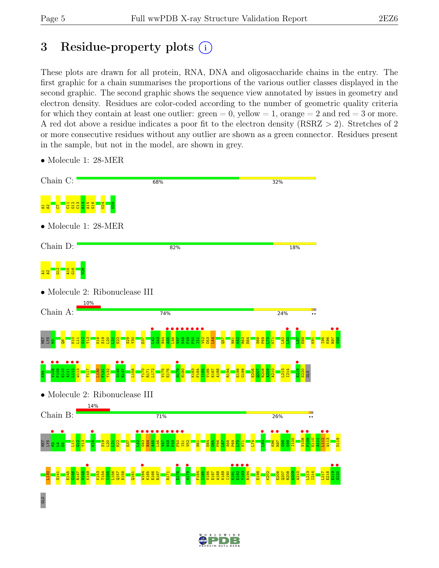# 3 Residue-property plots  $(i)$

These plots are drawn for all protein, RNA, DNA and oligosaccharide chains in the entry. The first graphic for a chain summarises the proportions of the various outlier classes displayed in the second graphic. The second graphic shows the sequence view annotated by issues in geometry and electron density. Residues are color-coded according to the number of geometric quality criteria for which they contain at least one outlier:  $green = 0$ , yellow  $= 1$ , orange  $= 2$  and red  $= 3$  or more. A red dot above a residue indicates a poor fit to the electron density (RSRZ > 2). Stretches of 2 or more consecutive residues without any outlier are shown as a green connector. Residues present in the sample, but not in the model, are shown in grey.



• Molecule 1: 28-MER

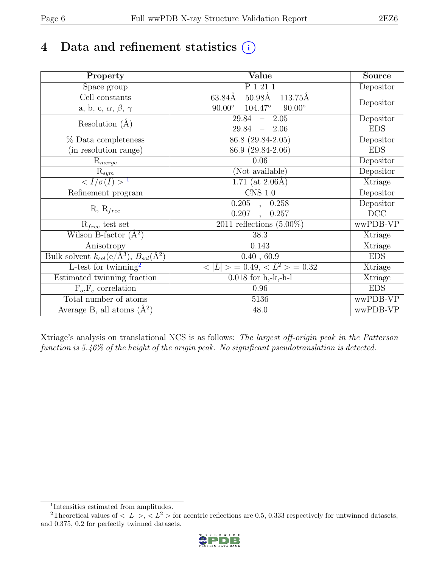# 4 Data and refinement statistics  $(i)$

| Property                                                             | Value                                              | <b>Source</b> |
|----------------------------------------------------------------------|----------------------------------------------------|---------------|
| Space group                                                          | P 1 21 1                                           | Depositor     |
| Cell constants                                                       | $50.98\text{\AA}$<br>63.84Å<br>113.75Å             |               |
| a, b, c, $\alpha$ , $\beta$ , $\gamma$                               | $90.00^\circ$<br>$104.47^{\circ}$<br>$90.00^\circ$ | Depositor     |
| Resolution $(A)$                                                     | $29.84 - 2.05$                                     | Depositor     |
|                                                                      | 29.84<br>$-2.06$                                   | <b>EDS</b>    |
| % Data completeness                                                  | 86.8 (29.84-2.05)                                  | Depositor     |
| (in resolution range)                                                | 86.9 (29.84-2.06)                                  | <b>EDS</b>    |
| $R_{merge}$                                                          | 0.06                                               | Depositor     |
| $\mathrm{R}_{sym}$                                                   | (Not available)                                    | Depositor     |
| $\langle I/\sigma(I) \rangle$ <sup>1</sup>                           | 1.71 (at $2.06\text{\AA}$ )                        | Xtriage       |
| Refinement program                                                   | $\overline{\text{CNS} 1.0}$                        | Depositor     |
|                                                                      | $\overline{0.205}$ ,<br>0.258                      | Depositor     |
| $R, R_{free}$                                                        | 0.207<br>0.257<br>$\ddot{\phantom{a}}$             | DCC           |
| $R_{free}$ test set                                                  | 2011 reflections $(5.00\%)$                        | wwPDB-VP      |
| Wilson B-factor $(A^2)$                                              | 38.3                                               | Xtriage       |
| Anisotropy                                                           | 0.143                                              | Xtriage       |
| Bulk solvent $k_{sol}(e/\mathring{A}^3)$ , $B_{sol}(\mathring{A}^2)$ | 0.40, 60.9                                         | <b>EDS</b>    |
| L-test for twinning <sup>2</sup>                                     | $< L >$ = 0.49, $< L^2 >$ = 0.32                   | Xtriage       |
| Estimated twinning fraction                                          | $\overline{0.018}$ for h,-k,-h-l                   | Xtriage       |
| $F_o, F_c$ correlation                                               | 0.96                                               | <b>EDS</b>    |
| Total number of atoms                                                | 5136                                               | wwPDB-VP      |
| Average B, all atoms $(A^2)$                                         | 48.0                                               | wwPDB-VP      |

Xtriage's analysis on translational NCS is as follows: The largest off-origin peak in the Patterson function is 5.46% of the height of the origin peak. No significant pseudotranslation is detected.

<sup>&</sup>lt;sup>2</sup>Theoretical values of  $\langle |L| \rangle$ ,  $\langle L^2 \rangle$  for acentric reflections are 0.5, 0.333 respectively for untwinned datasets, and 0.375, 0.2 for perfectly twinned datasets.



<span id="page-5-1"></span><span id="page-5-0"></span><sup>1</sup> Intensities estimated from amplitudes.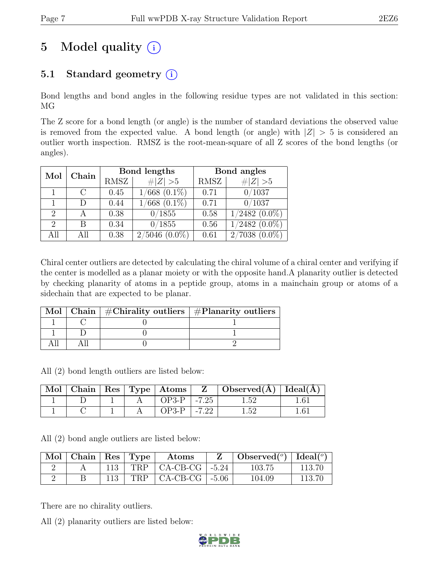# 5 Model quality  $(i)$

## 5.1 Standard geometry  $(i)$

Bond lengths and bond angles in the following residue types are not validated in this section: MG

The Z score for a bond length (or angle) is the number of standard deviations the observed value is removed from the expected value. A bond length (or angle) with  $|Z| > 5$  is considered an outlier worth inspection. RMSZ is the root-mean-square of all Z scores of the bond lengths (or angles).

| Mol                         | Chain                       |      | Bond lengths           | Bond angles |                     |  |
|-----------------------------|-----------------------------|------|------------------------|-------------|---------------------|--|
|                             |                             | RMSZ | $\ Z\  > 5$            | RMSZ        | $\ Z\  > 5$         |  |
|                             | $\mathcal{C}_{\mathcal{C}}$ | 0.45 | $1/668$ $(0.1\%)$      | 0.71        | 0/1037              |  |
|                             |                             | 0.44 | $\sqrt{668}$ $(0.1\%)$ | 0.71        | 0/1037              |  |
| $\mathcal{D}_{\mathcal{L}}$ |                             | 0.38 | 0/1855                 | 0.58        | $1/2482$ $(0.0\%)$  |  |
| $\mathcal{D}_{\mathcal{L}}$ | R                           | 0.34 | 0/1855                 | 0.56        | $1/2482$ $(0.0\%)$  |  |
| All                         |                             | 0.38 | 2/5046<br>$(0.0\%)$    | 0.61        | 2/7038<br>$(0.0\%)$ |  |

Chiral center outliers are detected by calculating the chiral volume of a chiral center and verifying if the center is modelled as a planar moiety or with the opposite hand.A planarity outlier is detected by checking planarity of atoms in a peptide group, atoms in a mainchain group or atoms of a sidechain that are expected to be planar.

|  | Mol   Chain   $\#\text{Chirality outliers}$   $\#\text{Planarity outliers}$ |  |
|--|-----------------------------------------------------------------------------|--|
|  |                                                                             |  |
|  |                                                                             |  |
|  |                                                                             |  |

All (2) bond length outliers are listed below:

|  |  | $\vert$ Mol $\vert$ Chain $\vert$ Res $\vert$ Type $\vert$ Atoms $\vert$ | $\mathbf{Z}$ . | $\mid$ Observed( $\AA$ ) $\mid$ Ideal( $\AA$ ) |  |
|--|--|--------------------------------------------------------------------------|----------------|------------------------------------------------|--|
|  |  | $OP3-P$                                                                  | $1 - 7.25$     | L 52                                           |  |
|  |  | $OP3-P$                                                                  | $-7.22$        | l 59                                           |  |

All (2) bond angle outliers are listed below:

| $\mid$ Mol $\mid$ Chain $\mid$ Res $\mid$ Type $\mid$ |             | Atoms                    | Observed( $^{\circ}$ )   Ideal( $^{\circ}$ ) |        |
|-------------------------------------------------------|-------------|--------------------------|----------------------------------------------|--------|
|                                                       | $113 \perp$ | $TRP$   CA-CB-CG   -5.24 | 103.75                                       | 113.70 |
|                                                       | 113         | $TRP$   CA-CB-CG   -5.06 | 104.09                                       | 113.70 |

There are no chirality outliers.

All (2) planarity outliers are listed below:

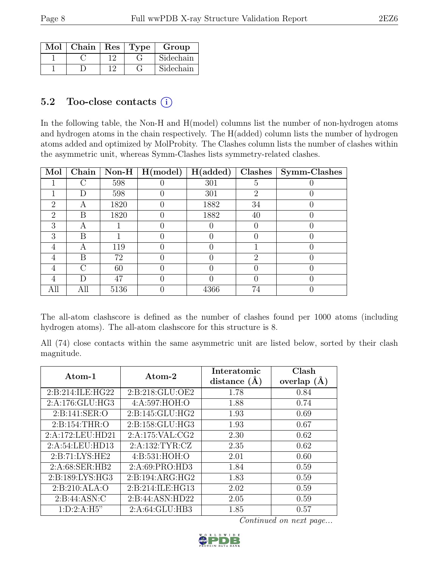| Mol | $\vert$ Chain $\vert$ Res $\vert$ Type |  | Group     |
|-----|----------------------------------------|--|-----------|
|     |                                        |  | Sidechain |
|     |                                        |  | Sidechain |

### 5.2 Too-close contacts  $(i)$

In the following table, the Non-H and H(model) columns list the number of non-hydrogen atoms and hydrogen atoms in the chain respectively. The H(added) column lists the number of hydrogen atoms added and optimized by MolProbity. The Clashes column lists the number of clashes within the asymmetric unit, whereas Symm-Clashes lists symmetry-related clashes.

| Mol           | Chain | Non-H | H (model) | H(added) | Clashes                     | Symm-Clashes |
|---------------|-------|-------|-----------|----------|-----------------------------|--------------|
|               |       | 598   |           | 301      | 5                           |              |
|               | D     | 598   |           | 301      | $\mathcal{D}_{\mathcal{A}}$ |              |
| $\mathcal{D}$ | А     | 1820  |           | 1882     | 34                          |              |
| $\mathcal{D}$ | В     | 1820  |           | 1882     | 40                          |              |
| 3             | А     |       |           |          |                             |              |
| 3             | В     |       |           |          |                             |              |
| 4             | А     | 119   |           |          |                             |              |
| 4             | B     | 72    |           |          | റ                           |              |
| 4             | ∩     | 60    |           |          |                             |              |
|               | D     | 47    |           |          |                             |              |
| All           | All   | 5136  |           | 4366     | 74                          |              |

The all-atom clashscore is defined as the number of clashes found per 1000 atoms (including hydrogen atoms). The all-atom clashscore for this structure is 8.

All (74) close contacts within the same asymmetric unit are listed below, sorted by their clash magnitude.

| Atom-1              | Atom-2           | Interatomic<br>distance $(A)$ | Clash<br>overlap $(A)$ |
|---------------------|------------------|-------------------------------|------------------------|
| 2: B:214: ILE: HG22 | 2:B:218:GLU:OE2  | 1.78                          | 0.84                   |
| 2:A:176:GLU:HG3     | 4:A:597:HOH:O    | 1.88                          | 0.74                   |
| 2:B:141:SER:O       | 2:B:145:GLU:HG2  | 1.93                          | 0.69                   |
| 2:B:154:THR:O       | 2:B:158:GLU:HG3  | 1.93                          | 0.67                   |
| 2:A:172:LEU:HD21    | 2:A:175:VAL:CG2  | 2.30                          | 0.62                   |
| 2:A:54:LEU:HD13     | 2:A:132:TYR:CZ   | 2.35                          | 0.62                   |
| 2: B: 71: LYS: HE2  | 4:B:531:HOH:O    | 2.01                          | 0.60                   |
| 2:A:68:SER:HB2      | 2:A:69:PRO:HD3   | 1.84                          | 0.59                   |
| 2:B:189:LYS:HG3     | 2:B:194:ARG:HG2  | 1.83                          | 0.59                   |
| 2: B:210: ALA:O     | 2:B:214:ILE:HG13 | 2.02                          | 0.59                   |
| 2: B:44: ASN: C     | 2:B:44:ASN:HD22  | 2.05                          | 0.59                   |
| 1: D: 2: A: H5"     | 2:A:64:GLU:HB3   | 1.85                          | 0.57                   |

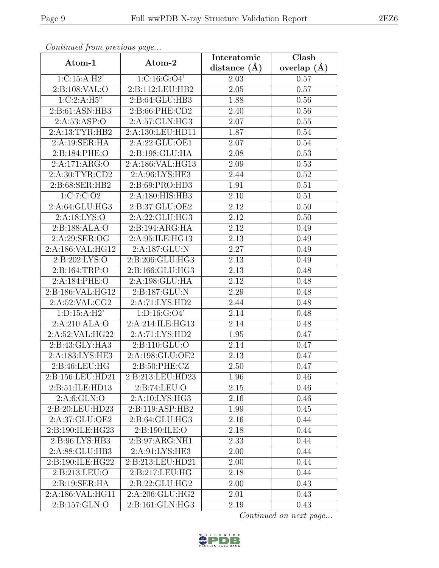| Continuea from previous page |                                 | Interatomic       | $\overline{\text{Clash}}$ |
|------------------------------|---------------------------------|-------------------|---------------------------|
| Atom-1                       | Atom-2                          | distance $(A)$    | overlap $(A)$             |
| 1: C: 15: A:H2'              | 1: C: 16: G: O4'                | 2.03              | 0.57                      |
| 2:B:108:VAL:O                | 2:B:112:LEU:HB2                 | 2.05              | 0.57                      |
| 1:C:2:A:H5"                  | 2:B:64:GLU:HB3                  | 1.88              | 0.56                      |
| 2:B:61:ASN:HB3               | 2:B:66:PHE:CD2                  | 2.40              | 0.56                      |
| 2:A:53:ASP:O                 | 2:A:57:GLN:HG3                  | 2.07              | 0.55                      |
| 2:A:13:TYR:HB2               | 2:A:130:LEU:HD11                | 1.87              | 0.54                      |
| 2:A:19:SER:HA                | 2:A:22:GLU:OE1                  | 2.07              | 0.54                      |
| 2:B:184:PHE:O                | 2:B:198:GLU:HA                  | 2.08              | 0.53                      |
| 2:A:171:ARG:O                | 2:A:186:VAL:HG13                | 2.09              | 0.53                      |
| 2:A:30:TYR:CD2               | 2:A:96:LYS:HE3                  | 2.44              | 0.52                      |
| 2:B:68:SER:HB2               | 2:B:69:PRO:HD3                  | 1.91              | 0.51                      |
| 1:C:7:C:O2                   | 2:A:180:HIS:HB3                 | 2.10              | 0.51                      |
| 2:A:64:GLU:HG3               | 2:B:37:GLU:OE2                  | 2.12              | 0.50                      |
| 2:A:18:LYS:O                 | 2:A:22:GLU:HG3                  | 2.12              | 0.50                      |
| 2:B:188:ALA:O                | 2:B:194:ARG:HA                  | 2.12              | 0.49                      |
| 2:A:29:SER:OG                | 2:A:95:ILE:HG13                 | 2.13              | 0.49                      |
| 2:A:186:VAL:HG12             | 2:A:187:GLU:N                   | 2.27              | 0.49                      |
| 2:B:202:LYS:O                | 2:B:206:GLU:HG3                 | 2.13              | 0.49                      |
| 2:B:164:TRP:O                | 2:B:166:GLU:HG3                 | $\overline{2.13}$ | 0.48                      |
| 2:A:184:PHE:O                | 2:A:198:GLU:HA                  | 2.12              | 0.48                      |
| 2:B:186:VAL:HG12             | 2:B:187:GLU:N                   | 2.29              | 0.48                      |
| $2:A:52:\overline{VAL}:CG2$  | 2:A:71:LYS:HD2                  | 2.44              | 0.48                      |
| 1: D: 15: A: H2'             | 1: D: 16: G: O4'                | 2.14              | 0.48                      |
| 2:A:210:ALA:O                | 2:A:214:ILE:HG13                | 2.14              | 0.48                      |
| 2:A:52:VAL:HG22              | 2:A:71:LYS:HD2                  | 1.95              | 0.47                      |
| 2:B:43:GLY:HA3               | 2:B:110:GLU:O                   | 2.14              | 0.47                      |
| 2:A:183:LYS:HE3              | 2:A:198:GLU:OE2                 | 2.13              | 0.47                      |
| 2:B:46:LEU:HG                | 2: B:50: PHE: CZ                | 2.50              | 0.47                      |
| 2:B:156:LEU:HD21             | 2:B:213:LEU:HD23                | 1.96              | 0.46                      |
| 2:B:51:ILE:HD13              | 2:B:74:LEU:O                    | 2.15              | 0.46                      |
| 2: A:6: GLN:O                | 2:A:10:LYS:HG3                  | 2.16              | 0.46                      |
| 2:B:20:LEU:HD23              | 2:B:119:ASP:HB2                 | 1.99              | 0.45                      |
| 2:A:37:GLU:OE2               | 2: B:64: GLU: HG3               | 2.16              | 0.44                      |
| 2:B:190:ILE:HG23             | 2:B:190:ILE:O                   | 2.18              | 0.44                      |
| 2:B:96:LYS:HB3               | 2: B: 97: ARG: NH1              | 2.33              | 0.44                      |
| 2:A:88:GLU:HB3               | 2:A:91:LYS:HE3                  | 2.00              | 0.44                      |
| 2:B:190:ILE:HG22             | 2:B:213:LEU:HD21                | 2.00              | 0.44                      |
| 2:B:213:LEU:O                | 2:B:217:LEU:HG                  | 2.18              | 0.44                      |
| 2:B:19:SER:HA                | 2: B:22: GLU: HG2               | 2.00              | 0.43                      |
| 2:A:186:VAL:HG11             | 2:A:206:GLU:HG2                 | 2.01              | 0.43                      |
| 2:B:157:GLN:O                | $2: B: 161: \overline{GLN:HG3}$ | 2.19              | 0.43                      |

Continued from previous page.

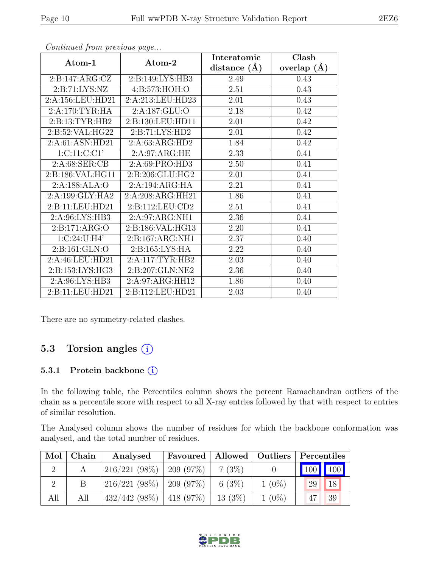|                    |                  | Interatomic    | Clash         |
|--------------------|------------------|----------------|---------------|
| Atom-1             | Atom-2           | distance $(A)$ | overlap $(A)$ |
| 2: B: 147: ARG: CZ | 2:B:149:LYS:HB3  | 2.49           | 0.43          |
| 2: B: 71: LYS: NZ  | 4:B:573:HOH:O    | 2.51           | 0.43          |
| 2:A:156:LEU:HD21   | 2:A:213:LEU:HD23 | 2.01           | 0.43          |
| 2:A:170:TYR:HA     | 2:A:187:GLU:O    | 2.18           | 0.42          |
| 2: B: 13: TYR: HB2 | 2:B:130:LEU:HD11 | 2.01           | 0.42          |
| 2:B:52:VAL:HG22    | 2:B:71:LYS:HD2   | 2.01           | 0.42          |
| 2:A:61:ASN:HD21    | 2:A:63:ARG:HD2   | 1.84           | 0.42          |
| 1: C: 11: C: C1'   | 2:A:97:ARG:HE    | 2.33           | 0.41          |
| 2: A:68: SER:CB    | 2:A:69:PRO:HD3   | 2.50           | 0.41          |
| 2:B:186:VAL:HG11   | 2:B:206:GLU:HG2  | 2.01           | 0.41          |
| 2:A:188:ALA:O      | 2:A:194:ARG:HA   | 2.21           | 0.41          |
| 2:A:199:GLY:HA2    | 2:A:208:ARG:HH21 | 1.86           | 0.41          |
| 2:B:11:LEU:HD21    | 2:B:112:LEU:CD2  | $2.51\,$       | 0.41          |
| 2:A:96:LYS:HB3     | 2:A:97:ARG:NH1   | 2.36           | 0.41          |
| 2:B:171:ARG:O      | 2:B:186:VAL:HG13 | 2.20           | 0.41          |
| 1:C:24:U:H4'       | 2:B:167:ARG:NH1  | 2.37           | 0.40          |
| 2:B:161:GLN:O      | 2:B:165:LYS:HA   | 2.22           | 0.40          |
| 2:A:46:LEU:HD21    | 2:A:117:TYR:HB2  | 2.03           | 0.40          |
| 2:B:153:LYS:HG3    | 2:B:207:GLN:NE2  | 2.36           | 0.40          |
| 2:A:96:LYS:HB3     | 2:A:97:ARG:HH12  | 1.86           | 0.40          |
| 2:B:11:LEU:HD21    | 2:B:112:LEU:HD21 | 2.03           | 0.40          |

Continued from previous page...

There are no symmetry-related clashes.

### 5.3 Torsion angles (i)

#### 5.3.1 Protein backbone (i)

In the following table, the Percentiles column shows the percent Ramachandran outliers of the chain as a percentile score with respect to all X-ray entries followed by that with respect to entries of similar resolution.

The Analysed column shows the number of residues for which the backbone conformation was analysed, and the total number of residues.

| Mol | Chain | Analysed                      |           |          | Favoured   Allowed   Outliers   Percentiles |
|-----|-------|-------------------------------|-----------|----------|---------------------------------------------|
|     |       | $216/221$ (98\%)   209 (97\%) | $7(3\%)$  |          | 100 100                                     |
|     |       | $216/221$ (98\%)   209 (97\%) | 6 $(3\%)$ | $1(0\%)$ | 18<br>29                                    |
| All | All   | $432/442$ (98%)   418 (97%)   | 13(3%)    | $1(0\%)$ | 39<br>47                                    |

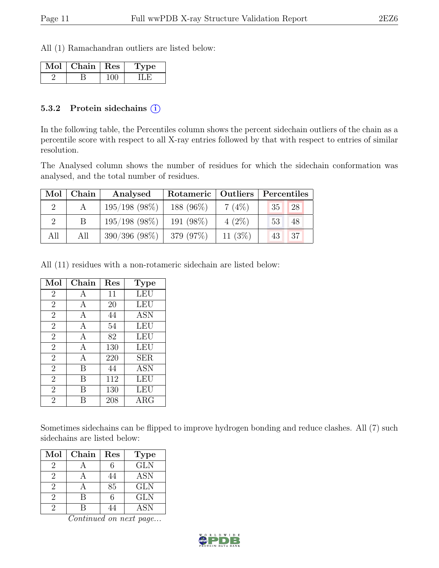All (1) Ramachandran outliers are listed below:

| Mol | Chain   Res | ype |
|-----|-------------|-----|
|     |             |     |

#### 5.3.2 Protein sidechains (i)

In the following table, the Percentiles column shows the percent sidechain outliers of the chain as a percentile score with respect to all X-ray entries followed by that with respect to entries of similar resolution.

The Analysed column shows the number of residues for which the sidechain conformation was analysed, and the total number of residues.

| Mol | Chain | Analysed        | Rotameric   Outliers |           | Percentiles |
|-----|-------|-----------------|----------------------|-----------|-------------|
|     |       | $195/198$ (98%) | 188 (96%)            | 7(4%)     | 28<br>35    |
|     |       | $195/198$ (98%) | 191 (98%)            | $4(2\%)$  | 48<br>53    |
| All | All   | $390/396$ (98%) | 379 (97\%)           | 11 $(3%)$ | 137<br>43   |

All (11) residues with a non-rotameric sidechain are listed below:

| Mol            | Chain | Res | <b>Type</b> |
|----------------|-------|-----|-------------|
| $\overline{2}$ | А     | 11  | <b>LEU</b>  |
| $\overline{2}$ | А     | 20  | LEU         |
| $\overline{2}$ | A     | 44  | <b>ASN</b>  |
| $\overline{2}$ | A     | 54  | <b>LEU</b>  |
| $\overline{2}$ | А     | 82  | <b>LEU</b>  |
| $\overline{2}$ | А     | 130 | <b>LEU</b>  |
| $\overline{2}$ | Α     | 220 | <b>SER</b>  |
| $\overline{2}$ | B     | 44  | ASN         |
| $\overline{2}$ | B     | 112 | <b>LEU</b>  |
| $\overline{2}$ | В     | 130 | LEU         |
| $\overline{2}$ |       | 208 | $\rm{ARG}$  |

Sometimes sidechains can be flipped to improve hydrogen bonding and reduce clashes. All (7) such sidechains are listed below:

| Mol           | Chain | Res | <b>Type</b> |
|---------------|-------|-----|-------------|
| 2             |       |     | <b>GLN</b>  |
| $\mathcal{D}$ |       |     | <b>ASN</b>  |
| 2             |       | 85  | <b>GLN</b>  |
| $\mathcal{D}$ | R     | 6   | <b>GLN</b>  |
| 9             |       |     | <b>ASN</b>  |

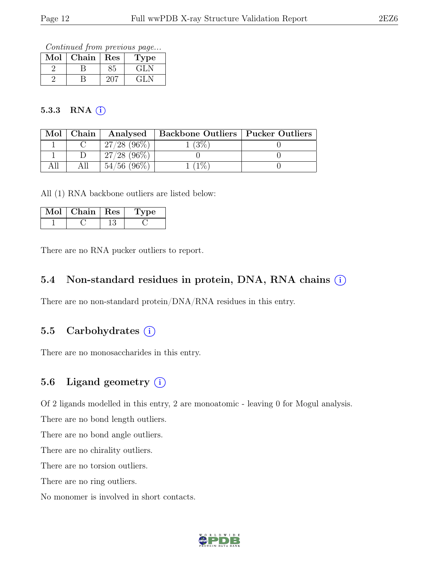Continued from previous page...

| Mol | ${\rm Chain}$ | Res | ype                       |
|-----|---------------|-----|---------------------------|
|     |               |     | $\mathbf{G}$ $\mathbf{L}$ |
|     |               |     | $\pm 1$ .                 |

#### 5.3.3 RNA  $(i)$

| Mol | Chain |                | Analysed   Backbone Outliers   Pucker Outliers |  |
|-----|-------|----------------|------------------------------------------------|--|
|     |       | $27/28$ (96\%) | $^{\prime}3\%$                                 |  |
|     |       | $27/28$ (96\%) |                                                |  |
|     |       | $54/56$ (96\%) | $1\%$                                          |  |

All (1) RNA backbone outliers are listed below:

| Chain   Res | рe |
|-------------|----|
|             |    |

There are no RNA pucker outliers to report.

#### 5.4 Non-standard residues in protein, DNA, RNA chains  $(i)$

There are no non-standard protein/DNA/RNA residues in this entry.

### 5.5 Carbohydrates (i)

There are no monosaccharides in this entry.

#### 5.6 Ligand geometry  $(i)$

Of 2 ligands modelled in this entry, 2 are monoatomic - leaving 0 for Mogul analysis.

There are no bond length outliers.

There are no bond angle outliers.

There are no chirality outliers.

There are no torsion outliers.

There are no ring outliers.

No monomer is involved in short contacts.

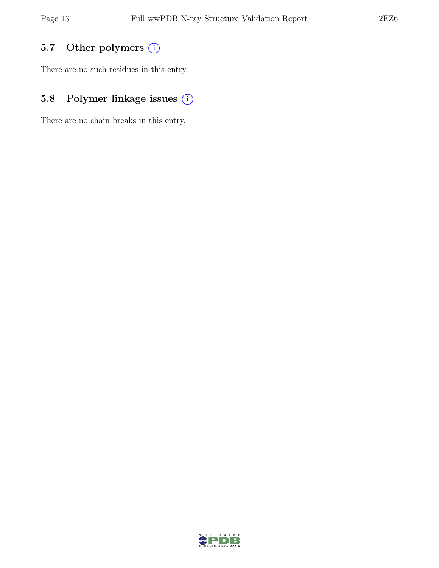## 5.7 Other polymers (i)

There are no such residues in this entry.

## 5.8 Polymer linkage issues  $(i)$

There are no chain breaks in this entry.

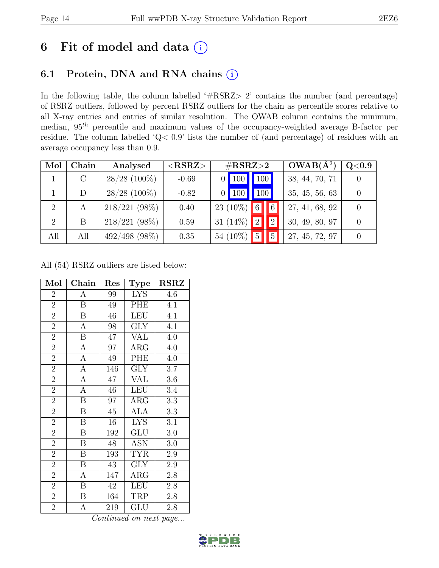# 6 Fit of model and data  $(i)$

## 6.1 Protein, DNA and RNA chains (i)

In the following table, the column labelled ' $\#\text{RSRZ}>2$ ' contains the number (and percentage) of RSRZ outliers, followed by percent RSRZ outliers for the chain as percentile scores relative to all X-ray entries and entries of similar resolution. The OWAB column contains the minimum, median,  $95<sup>th</sup>$  percentile and maximum values of the occupancy-weighted average B-factor per residue. The column labelled 'Q< 0.9' lists the number of (and percentage) of residues with an average occupancy less than 0.9.

| Mol            | Chain | Analysed        | ${ <\hspace{-1.5pt} {\rm RSRZ}\hspace{-1.5pt}>}$ | $\#\text{RSRZ}\text{>2}$ |                     | $\overline{\textbf{OWAB}}$ ( $\AA^2$ ) | $\rm Q\textless0.9$ |  |
|----------------|-------|-----------------|--------------------------------------------------|--------------------------|---------------------|----------------------------------------|---------------------|--|
|                |       | $28/28$ (100%)  | $-0.69$                                          | <sup>100</sup>           | 100 <sup>1</sup>    |                                        | 38, 44, 70, 71      |  |
|                |       | $28/28$ (100%)  | $-0.82$                                          | $\vert$ 100              | 100                 |                                        | 35, 45, 56, 63      |  |
| $\overline{2}$ | A     | 218/221 (98%)   | 0.40                                             | $23(10\%)$               | $\overline{6}$<br>6 |                                        | 27, 41, 68, 92      |  |
| $\overline{2}$ | В     | $218/221$ (98%) | 0.59                                             | 31 $(14\%)$              | $ 2\rangle$<br> 2   |                                        | 30, 49, 80, 97      |  |
| All            | All   | $492/498$ (98%) | 0.35                                             | 54 (10%)                 | $\overline{5}$      | $5\overline{)}$                        | 27, 45, 72, 97      |  |

All (54) RSRZ outliers are listed below:

| Mol            | Chain                   | Res    | Type                    | <b>RSRZ</b> |
|----------------|-------------------------|--------|-------------------------|-------------|
| $\overline{2}$ | А                       | 99     | <b>LYS</b>              | 4.6         |
| $\overline{2}$ | $\boldsymbol{B}$        | 49     | PHE                     | 4.1         |
| $\overline{2}$ | $\boldsymbol{B}$        | 46     | <b>LEU</b>              | 4.1         |
| $\overline{2}$ | A                       | 98     | GLY                     | 4.1         |
| $\overline{2}$ | $\overline{\mathrm{B}}$ | 47     | VAL                     | 4.0         |
| $\overline{2}$ | $\boldsymbol{A}$        | 97     | $\rm{ARG}$              | 4.0         |
| $\overline{2}$ | $\overline{A}$          | 49     | PHE                     | 4.0         |
| $\overline{2}$ | $\overline{A}$          | 146    | GLY                     | 3.7         |
| $\overline{2}$ | $\overline{A}$          | 47     | $\overline{\text{VAL}}$ | 3.6         |
| $\overline{2}$ | $\overline{A}$          | 46     | <b>LEU</b>              | 3.4         |
| $\overline{2}$ | $\boldsymbol{B}$        | 97     | $\rm{ARG}$              | 3.3         |
| $\overline{2}$ | $\overline{\mathrm{B}}$ | $45\,$ | <b>ALA</b>              | 3.3         |
| $\overline{2}$ | B                       | 16     | <b>LYS</b>              | 3.1         |
| $\overline{2}$ | B                       | 192    | GLU                     | 3.0         |
| $\overline{2}$ | B                       | 48     | <b>ASN</b>              | 3.0         |
| $\overline{2}$ | $\, {\bf B}$            | 193    | <b>TYR</b>              | $2.9\,$     |
| $\overline{2}$ | $\overline{\mathrm{B}}$ | 43     | <b>GLY</b>              | 2.9         |
| $\overline{2}$ | A                       | 147    | $\rm{ARG}$              | 2.8         |
| $\overline{2}$ | B                       | 42     | <b>LEU</b>              | 2.8         |
| $\overline{2}$ | $\boldsymbol{B}$        | 164    | TRP                     | 2.8         |
| $\overline{2}$ | А                       | 219    | GLU                     | 2.8         |

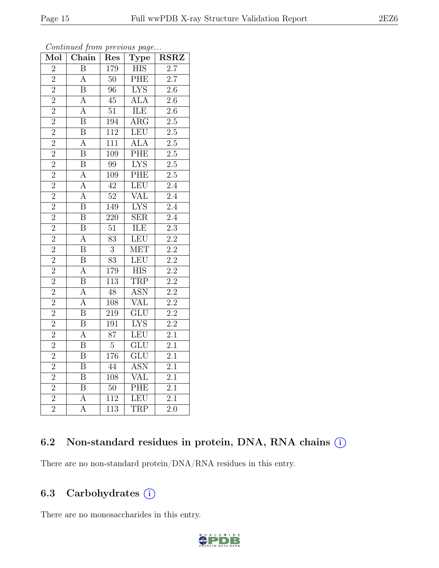| Mol            | Chain                   | Res              | Type                      | $\operatorname{RSRZ}$ |
|----------------|-------------------------|------------------|---------------------------|-----------------------|
| $\overline{2}$ | $\boldsymbol{B}$        | 179              | <b>HIS</b>                | $\overline{2.7}$      |
| $\overline{2}$ | $\overline{\rm A}$      | 50               | PHE                       | 2.7                   |
| $\overline{2}$ | $\overline{\mathbf{B}}$ | $\overline{96}$  | $\overline{\text{LYS}}$   | $\overline{2.6}$      |
| $\overline{2}$ | $\overline{\rm A}$      | $45\,$           | <b>ALA</b>                | $\overline{2.6}$      |
| $\overline{2}$ | $\overline{\rm A}$      | $\overline{5}1$  | <b>ILE</b>                | $\overline{2.6}$      |
| $\overline{2}$ | $\boldsymbol{B}$        | 194              | $\rm{ARG}$                | 2.5                   |
| $\overline{2}$ | $\overline{\mathbf{B}}$ | $11\overline{2}$ | <b>LEU</b>                | $2.5\,$               |
| $\overline{2}$ | $\overline{\rm A}$      | 111              | ALA                       | $\overline{2.5}$      |
| $\overline{2}$ | $\overline{\mathrm{B}}$ | 109              | PHE                       | $\overline{2.5}$      |
| $\overline{2}$ | $\overline{\mathrm{B}}$ | $\overline{99}$  | <b>LYS</b>                | $\overline{2.5}$      |
| $\overline{2}$ | $\overline{\rm A}$      | 109              | PHE                       | $\overline{2.5}$      |
| $\overline{2}$ | $\overline{\rm A}$      | $\overline{42}$  | LEU                       | $\overline{2.4}$      |
| $\overline{2}$ | $\overline{\rm A}$      | $\overline{52}$  | VAL                       | $\overline{2.4}$      |
| $\overline{2}$ | $\overline{\mathrm{B}}$ | 149              | $\overline{\text{LYS}}$   | $\overline{2.4}$      |
| $\overline{2}$ | $\overline{\mathrm{B}}$ | 220              | $\overline{\text{SER}}$   | $\overline{2.4}$      |
| $\overline{2}$ | B                       | 51               | <b>ILE</b>                | $\overline{2.3}$      |
| $\overline{2}$ | $\overline{\rm A}$      | $\overline{83}$  | LEU                       | $\overline{2.2}$      |
| $\overline{2}$ | $\overline{\mathrm{B}}$ | $\overline{3}$   | <b>MET</b>                | $\overline{2.2}$      |
| $\overline{2}$ | $\overline{\mathrm{B}}$ | $\overline{83}$  | $\overline{\text{LEU}}$   | $\overline{2.2}$      |
| $\overline{2}$ | $\overline{A}$          | 179              | $\overline{HIS}$          | $\overline{2.2}$      |
| $\overline{2}$ | $\overline{B}$          | 113              | TRP                       | $\overline{2.2}$      |
| $\overline{2}$ | $\overline{\rm A}$      | $\overline{48}$  | <b>ASN</b>                | $\overline{2.2}$      |
| $\overline{2}$ | $\overline{\rm A}$      | 108              | <b>VAL</b>                | $\overline{2.2}$      |
| $\overline{2}$ | $\overline{\mathrm{B}}$ | $\overline{219}$ | $\overline{\mathrm{GLU}}$ | $\overline{2.2}$      |
| $\overline{2}$ | $\overline{\mathrm{B}}$ | 191              | <b>LYS</b>                | $\overline{2.2}$      |
| $\overline{2}$ | $\overline{\rm A}$      | 87               | <b>LEU</b>                | 2.1                   |
| $\overline{2}$ | $\overline{\mathrm{B}}$ | $\overline{5}$   | $\overline{\text{GLU}}$   | $\overline{2.1}$      |
| $\overline{2}$ | $\overline{\mathrm{B}}$ | 176              | $\overline{{\rm GLU}}$    | $\overline{2.1}$      |
| $\overline{2}$ | $\overline{\mathrm{B}}$ | $\overline{44}$  | <b>ASN</b>                | $\overline{2.1}$      |
| $\overline{2}$ | $\overline{B}$          | 108              | VAL                       | 2.1                   |
| $\overline{2}$ | $\overline{\mathrm{B}}$ | $50\,$           | PHE                       | $\overline{2.1}$      |
| $\overline{2}$ | $\overline{A}$          | $\overline{112}$ | <b>LEU</b>                | $\overline{2.1}$      |
| $\overline{2}$ | $\overline{\rm A}$      | 113              | TRP                       | $\overline{2.0}$      |

#### Continued from previous page...

### 6.2 Non-standard residues in protein, DNA, RNA chains  $(i)$

There are no non-standard protein/DNA/RNA residues in this entry.

### 6.3 Carbohydrates (i)

There are no monosaccharides in this entry.